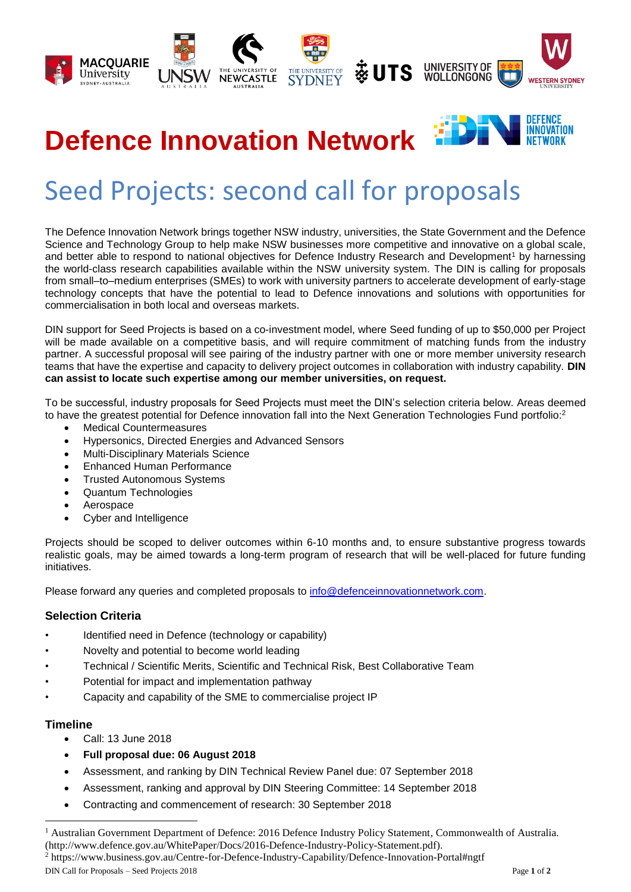

## **DEFENCE INNOVATION Defence Innovation Network**

# Seed Projects: second call for proposals

The Defence Innovation Network brings together NSW industry, universities, the State Government and the Defence Science and Technology Group to help make NSW businesses more competitive and innovative on a global scale, and better able to respond to national objectives for Defence Industry Research and Development<sup>1</sup> by harnessing the world-class research capabilities available within the NSW university system. The DIN is calling for proposals from small–to–medium enterprises (SMEs) to work with university partners to accelerate development of early-stage technology concepts that have the potential to lead to Defence innovations and solutions with opportunities for commercialisation in both local and overseas markets.

DIN support for Seed Projects is based on a co-investment model, where Seed funding of up to \$50,000 per Project will be made available on a competitive basis, and will require commitment of matching funds from the industry partner. A successful proposal will see pairing of the industry partner with one or more member university research teams that have the expertise and capacity to delivery project outcomes in collaboration with industry capability. **DIN can assist to locate such expertise among our member universities, on request.**

To be successful, industry proposals for Seed Projects must meet the DIN's selection criteria below. Areas deemed to have the greatest potential for Defence innovation fall into the Next Generation Technologies Fund portfolio:<sup>2</sup>

- Medical Countermeasures
- Hypersonics, Directed Energies and Advanced Sensors
- Multi-Disciplinary Materials Science
- Enhanced Human Performance
- Trusted Autonomous Systems
- Quantum Technologies
- Aerospace
- Cyber and Intelligence

Projects should be scoped to deliver outcomes within 6-10 months and, to ensure substantive progress towards realistic goals, may be aimed towards a long-term program of research that will be well-placed for future funding initiatives.

Please forward any queries and completed proposals to [info@defenceinnovationnetwork.com.](mailto:info@defenceinnovationnetwork.com)

#### **Selection Criteria**

- Identified need in Defence (technology or capability)
- Novelty and potential to become world leading
- Technical / Scientific Merits, Scientific and Technical Risk, Best Collaborative Team
- Potential for impact and implementation pathway
- Capacity and capability of the SME to commercialise project IP

#### **Timeline**

 $\overline{a}$ 

- Call: 13 June 2018
- **Full proposal due: 06 August 2018**
- Assessment, and ranking by DIN Technical Review Panel due: 07 September 2018
- Assessment, ranking and approval by DIN Steering Committee: 14 September 2018
- Contracting and commencement of research: 30 September 2018

DIN Call for Proposals – Seed Projects 2018 Page **1** of **2** <sup>2</sup> https://www.business.gov.au/Centre-for-Defence-Industry-Capability/Defence-Innovation-Portal#ngtf

<sup>&</sup>lt;sup>1</sup> Australian Government Department of Defence: 2016 Defence Industry Policy Statement, Commonwealth of Australia. (http://www.defence.gov.au/WhitePaper/Docs/2016-Defence-Industry-Policy-Statement.pdf).